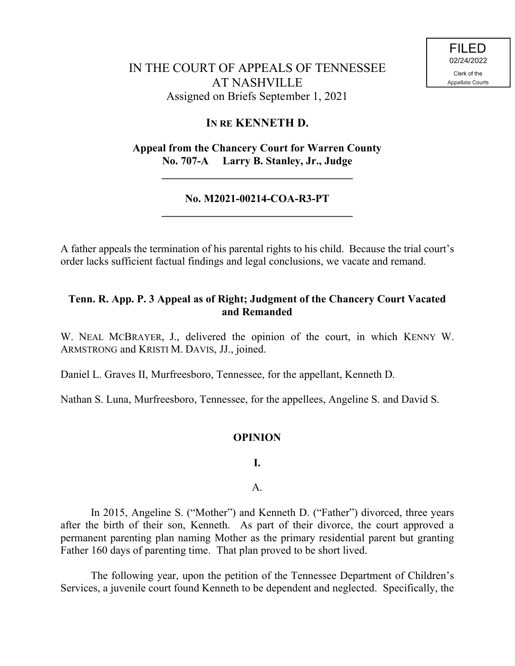# IN THE COURT OF APPEALS OF TENNESSEE AT NASHVILLE Assigned on Briefs September 1, 2021

## **IN RE KENNETH D.**

**Appeal from the Chancery Court for Warren County No. 707-A Larry B. Stanley, Jr., Judge**

**\_\_\_\_\_\_\_\_\_\_\_\_\_\_\_\_\_\_\_\_\_\_\_\_\_\_\_\_\_\_\_\_\_\_\_**

### **No. M2021-00214-COA-R3-PT \_\_\_\_\_\_\_\_\_\_\_\_\_\_\_\_\_\_\_\_\_\_\_\_\_\_\_\_\_\_\_\_\_\_\_**

A father appeals the termination of his parental rights to his child. Because the trial court's order lacks sufficient factual findings and legal conclusions, we vacate and remand.

### **Tenn. R. App. P. 3 Appeal as of Right; Judgment of the Chancery Court Vacated and Remanded**

W. NEAL MCBRAYER, J., delivered the opinion of the court, in which KENNY W. ARMSTRONG and KRISTI M. DAVIS, JJ., joined.

Daniel L. Graves II, Murfreesboro, Tennessee, for the appellant, Kenneth D.

Nathan S. Luna, Murfreesboro, Tennessee, for the appellees, Angeline S. and David S.

#### **OPINION**

**I.**

A.

In 2015, Angeline S. ("Mother") and Kenneth D. ("Father") divorced, three years after the birth of their son, Kenneth. As part of their divorce, the court approved a permanent parenting plan naming Mother as the primary residential parent but granting Father 160 days of parenting time. That plan proved to be short lived.

The following year, upon the petition of the Tennessee Department of Children's Services, a juvenile court found Kenneth to be dependent and neglected. Specifically, the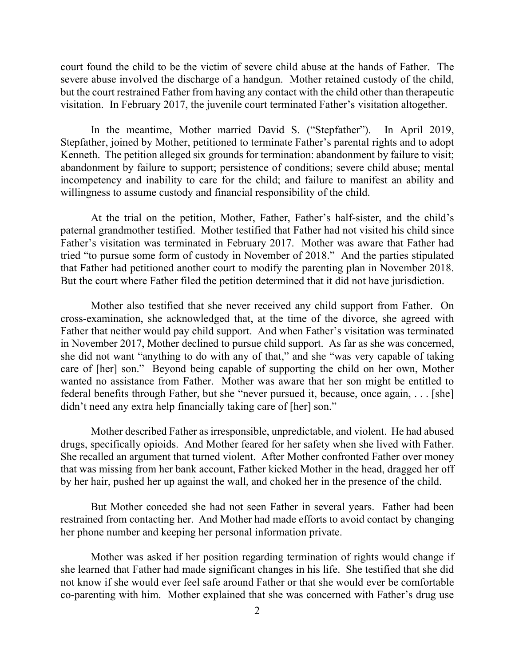court found the child to be the victim of severe child abuse at the hands of Father. The severe abuse involved the discharge of a handgun. Mother retained custody of the child, but the court restrained Father from having any contact with the child other than therapeutic visitation. In February 2017, the juvenile court terminated Father's visitation altogether.

In the meantime, Mother married David S. ("Stepfather"). In April 2019, Stepfather, joined by Mother, petitioned to terminate Father's parental rights and to adopt Kenneth. The petition alleged six grounds for termination: abandonment by failure to visit; abandonment by failure to support; persistence of conditions; severe child abuse; mental incompetency and inability to care for the child; and failure to manifest an ability and willingness to assume custody and financial responsibility of the child.

At the trial on the petition, Mother, Father, Father's half-sister, and the child's paternal grandmother testified. Mother testified that Father had not visited his child since Father's visitation was terminated in February 2017. Mother was aware that Father had tried "to pursue some form of custody in November of 2018." And the parties stipulated that Father had petitioned another court to modify the parenting plan in November 2018. But the court where Father filed the petition determined that it did not have jurisdiction.

Mother also testified that she never received any child support from Father. On cross-examination, she acknowledged that, at the time of the divorce, she agreed with Father that neither would pay child support. And when Father's visitation was terminated in November 2017, Mother declined to pursue child support. As far as she was concerned, she did not want "anything to do with any of that," and she "was very capable of taking care of [her] son." Beyond being capable of supporting the child on her own, Mother wanted no assistance from Father. Mother was aware that her son might be entitled to federal benefits through Father, but she "never pursued it, because, once again, . . . [she] didn't need any extra help financially taking care of [her] son."

Mother described Father as irresponsible, unpredictable, and violent. He had abused drugs, specifically opioids. And Mother feared for her safety when she lived with Father. She recalled an argument that turned violent. After Mother confronted Father over money that was missing from her bank account, Father kicked Mother in the head, dragged her off by her hair, pushed her up against the wall, and choked her in the presence of the child.

But Mother conceded she had not seen Father in several years. Father had been restrained from contacting her. And Mother had made efforts to avoid contact by changing her phone number and keeping her personal information private.

Mother was asked if her position regarding termination of rights would change if she learned that Father had made significant changes in his life. She testified that she did not know if she would ever feel safe around Father or that she would ever be comfortable co-parenting with him. Mother explained that she was concerned with Father's drug use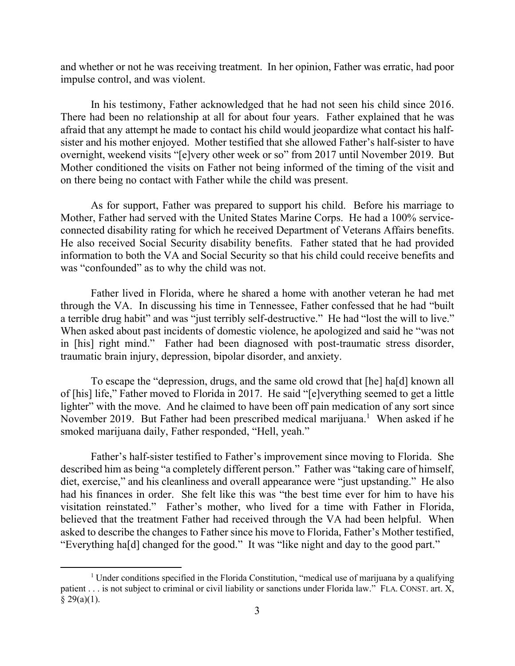and whether or not he was receiving treatment. In her opinion, Father was erratic, had poor impulse control, and was violent.

In his testimony, Father acknowledged that he had not seen his child since 2016. There had been no relationship at all for about four years. Father explained that he was afraid that any attempt he made to contact his child would jeopardize what contact his halfsister and his mother enjoyed. Mother testified that she allowed Father's half-sister to have overnight, weekend visits "[e]very other week or so" from 2017 until November 2019. But Mother conditioned the visits on Father not being informed of the timing of the visit and on there being no contact with Father while the child was present.

As for support, Father was prepared to support his child. Before his marriage to Mother, Father had served with the United States Marine Corps. He had a 100% serviceconnected disability rating for which he received Department of Veterans Affairs benefits. He also received Social Security disability benefits. Father stated that he had provided information to both the VA and Social Security so that his child could receive benefits and was "confounded" as to why the child was not.

Father lived in Florida, where he shared a home with another veteran he had met through the VA. In discussing his time in Tennessee, Father confessed that he had "built a terrible drug habit" and was "just terribly self-destructive." He had "lost the will to live." When asked about past incidents of domestic violence, he apologized and said he "was not in [his] right mind." Father had been diagnosed with post-traumatic stress disorder, traumatic brain injury, depression, bipolar disorder, and anxiety.

To escape the "depression, drugs, and the same old crowd that [he] ha[d] known all of [his] life," Father moved to Florida in 2017. He said "[e]verything seemed to get a little lighter" with the move. And he claimed to have been off pain medication of any sort since November 2019. But Father had been prescribed medical marijuana.<sup>1</sup> When asked if he smoked marijuana daily, Father responded, "Hell, yeah."

Father's half-sister testified to Father's improvement since moving to Florida. She described him as being "a completely different person." Father was "taking care of himself, diet, exercise," and his cleanliness and overall appearance were "just upstanding." He also had his finances in order. She felt like this was "the best time ever for him to have his visitation reinstated." Father's mother, who lived for a time with Father in Florida, believed that the treatment Father had received through the VA had been helpful. When asked to describe the changes to Father since his move to Florida, Father's Mother testified, "Everything ha[d] changed for the good." It was "like night and day to the good part."

<sup>&</sup>lt;sup>1</sup> Under conditions specified in the Florida Constitution, "medical use of marijuana by a qualifying patient . . . is not subject to criminal or civil liability or sanctions under Florida law." FLA. CONST. art. X,  $§$  29(a)(1).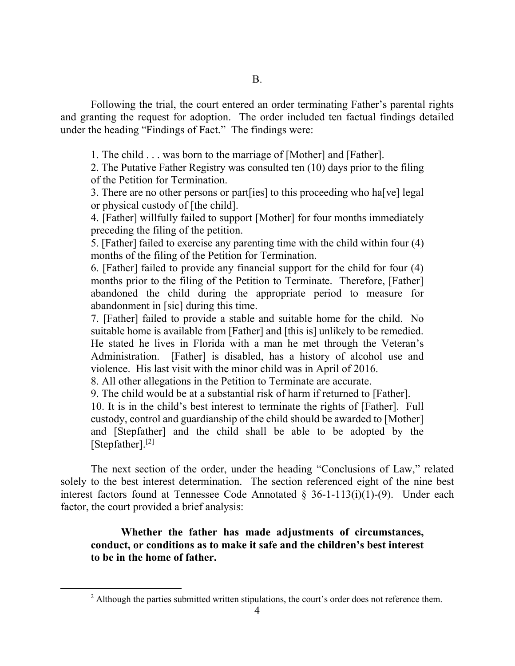Following the trial, the court entered an order terminating Father's parental rights and granting the request for adoption. The order included ten factual findings detailed under the heading "Findings of Fact." The findings were:

1. The child . . . was born to the marriage of [Mother] and [Father].

2. The Putative Father Registry was consulted ten (10) days prior to the filing of the Petition for Termination.

3. There are no other persons or part[ies] to this proceeding who ha[ve] legal or physical custody of [the child].

4. [Father] willfully failed to support [Mother] for four months immediately preceding the filing of the petition.

5. [Father] failed to exercise any parenting time with the child within four (4) months of the filing of the Petition for Termination.

6. [Father] failed to provide any financial support for the child for four (4) months prior to the filing of the Petition to Terminate. Therefore, [Father] abandoned the child during the appropriate period to measure for abandonment in [sic] during this time.

7. [Father] failed to provide a stable and suitable home for the child. No suitable home is available from [Father] and [this is] unlikely to be remedied. He stated he lives in Florida with a man he met through the Veteran's Administration. [Father] is disabled, has a history of alcohol use and violence. His last visit with the minor child was in April of 2016.

8. All other allegations in the Petition to Terminate are accurate.

9. The child would be at a substantial risk of harm if returned to [Father].

10. It is in the child's best interest to terminate the rights of [Father]. Full custody, control and guardianship of the child should be awarded to [Mother] and [Stepfather] and the child shall be able to be adopted by the [Stepfather].<sup>[2]</sup>

The next section of the order, under the heading "Conclusions of Law," related solely to the best interest determination. The section referenced eight of the nine best interest factors found at Tennessee Code Annotated  $\S$  36-1-113(i)(1)-(9). Under each factor, the court provided a brief analysis:

**Whether the father has made adjustments of circumstances, conduct, or conditions as to make it safe and the children's best interest to be in the home of father.**

 $\overline{a}$ 

 $2$  Although the parties submitted written stipulations, the court's order does not reference them.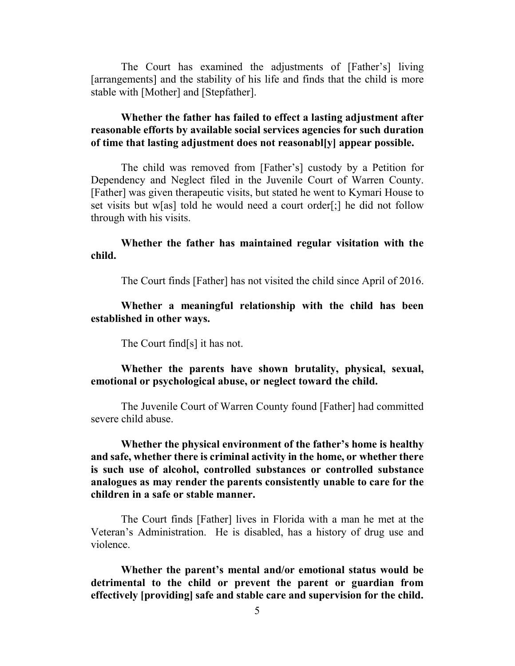The Court has examined the adjustments of [Father's] living [arrangements] and the stability of his life and finds that the child is more stable with [Mother] and [Stepfather].

### **Whether the father has failed to effect a lasting adjustment after reasonable efforts by available social services agencies for such duration of time that lasting adjustment does not reasonabl[y] appear possible.**

The child was removed from [Father's] custody by a Petition for Dependency and Neglect filed in the Juvenile Court of Warren County. [Father] was given therapeutic visits, but stated he went to Kymari House to set visits but w[as] told he would need a court order[;] he did not follow through with his visits.

**Whether the father has maintained regular visitation with the child.**

The Court finds [Father] has not visited the child since April of 2016.

**Whether a meaningful relationship with the child has been established in other ways.**

The Court find[s] it has not.

**Whether the parents have shown brutality, physical, sexual, emotional or psychological abuse, or neglect toward the child.**

The Juvenile Court of Warren County found [Father] had committed severe child abuse.

**Whether the physical environment of the father's home is healthy and safe, whether there is criminal activity in the home, or whether there is such use of alcohol, controlled substances or controlled substance analogues as may render the parents consistently unable to care for the children in a safe or stable manner.**

The Court finds [Father] lives in Florida with a man he met at the Veteran's Administration. He is disabled, has a history of drug use and violence.

**Whether the parent's mental and/or emotional status would be detrimental to the child or prevent the parent or guardian from effectively [providing] safe and stable care and supervision for the child.**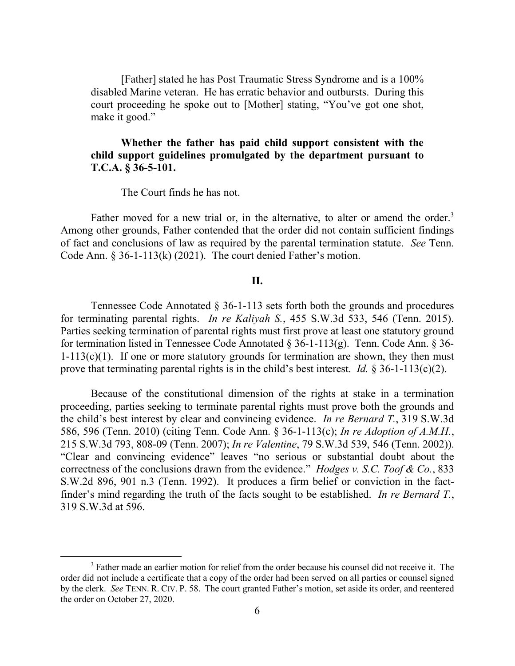[Father] stated he has Post Traumatic Stress Syndrome and is a 100% disabled Marine veteran. He has erratic behavior and outbursts. During this court proceeding he spoke out to [Mother] stating, "You've got one shot, make it good."

#### **Whether the father has paid child support consistent with the child support guidelines promulgated by the department pursuant to T.C.A. § 36-5-101.**

The Court finds he has not.

Father moved for a new trial or, in the alternative, to alter or amend the order.<sup>3</sup> Among other grounds, Father contended that the order did not contain sufficient findings of fact and conclusions of law as required by the parental termination statute. *See* Tenn. Code Ann. § 36-1-113(k) (2021). The court denied Father's motion.

#### **II.**

Tennessee Code Annotated § 36-1-113 sets forth both the grounds and procedures for terminating parental rights. *In re Kaliyah S.*, 455 S.W.3d 533, 546 (Tenn. 2015). Parties seeking termination of parental rights must first prove at least one statutory ground for termination listed in Tennessee Code Annotated  $\S$  36-1-113(g). Tenn. Code Ann.  $\S$  36- $1-113(c)(1)$ . If one or more statutory grounds for termination are shown, they then must prove that terminating parental rights is in the child's best interest. *Id.* § 36-1-113(c)(2).

Because of the constitutional dimension of the rights at stake in a termination proceeding, parties seeking to terminate parental rights must prove both the grounds and the child's best interest by clear and convincing evidence. *In re Bernard T.*, 319 S.W.3d 586, 596 (Tenn. 2010) (citing Tenn. Code Ann. § 36-1-113(c); *In re Adoption of A.M.H.*, 215 S.W.3d 793, 808-09 (Tenn. 2007); *In re Valentine*, 79 S.W.3d 539, 546 (Tenn. 2002)). "Clear and convincing evidence" leaves "no serious or substantial doubt about the correctness of the conclusions drawn from the evidence." *Hodges v. S.C. Toof & Co.*, 833 S.W.2d 896, 901 n.3 (Tenn. 1992). It produces a firm belief or conviction in the factfinder's mind regarding the truth of the facts sought to be established. *In re Bernard T.*, 319 S.W.3d at 596.

<sup>&</sup>lt;sup>3</sup> Father made an earlier motion for relief from the order because his counsel did not receive it. The order did not include a certificate that a copy of the order had been served on all parties or counsel signed by the clerk. *See* TENN. R. CIV. P. 58. The court granted Father's motion, set aside its order, and reentered the order on October 27, 2020.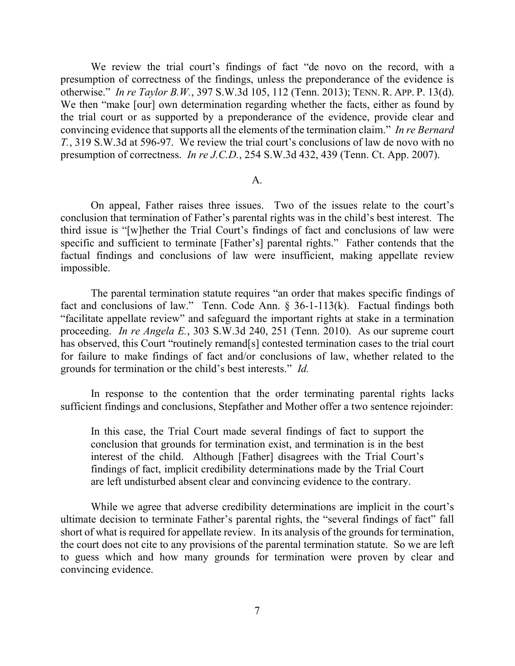We review the trial court's findings of fact "de novo on the record, with a presumption of correctness of the findings, unless the preponderance of the evidence is otherwise." *In re Taylor B.W.*, 397 S.W.3d 105, 112 (Tenn. 2013); TENN. R. APP. P. 13(d). We then "make [our] own determination regarding whether the facts, either as found by the trial court or as supported by a preponderance of the evidence, provide clear and convincing evidence that supports all the elements of the termination claim." *In re Bernard T.*, 319 S.W.3d at 596-97. We review the trial court's conclusions of law de novo with no presumption of correctness. *In re J.C.D.*, 254 S.W.3d 432, 439 (Tenn. Ct. App. 2007).

#### A.

On appeal, Father raises three issues. Two of the issues relate to the court's conclusion that termination of Father's parental rights was in the child's best interest. The third issue is "[w]hether the Trial Court's findings of fact and conclusions of law were specific and sufficient to terminate [Father's] parental rights." Father contends that the factual findings and conclusions of law were insufficient, making appellate review impossible.

The parental termination statute requires "an order that makes specific findings of fact and conclusions of law." Tenn. Code Ann. § 36-1-113(k). Factual findings both "facilitate appellate review" and safeguard the important rights at stake in a termination proceeding. *In re Angela E.*, 303 S.W.3d 240, 251 (Tenn. 2010). As our supreme court has observed, this Court "routinely remand[s] contested termination cases to the trial court for failure to make findings of fact and/or conclusions of law, whether related to the grounds for termination or the child's best interests." *Id.* 

In response to the contention that the order terminating parental rights lacks sufficient findings and conclusions, Stepfather and Mother offer a two sentence rejoinder:

In this case, the Trial Court made several findings of fact to support the conclusion that grounds for termination exist, and termination is in the best interest of the child. Although [Father] disagrees with the Trial Court's findings of fact, implicit credibility determinations made by the Trial Court are left undisturbed absent clear and convincing evidence to the contrary.

While we agree that adverse credibility determinations are implicit in the court's ultimate decision to terminate Father's parental rights, the "several findings of fact" fall short of what is required for appellate review. In its analysis of the grounds for termination, the court does not cite to any provisions of the parental termination statute. So we are left to guess which and how many grounds for termination were proven by clear and convincing evidence.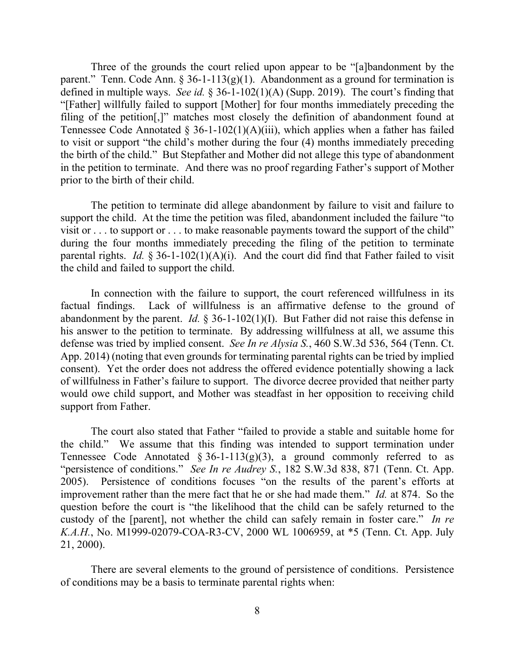Three of the grounds the court relied upon appear to be "[a]bandonment by the parent." Tenn. Code Ann. § 36-1-113(g)(1). Abandonment as a ground for termination is defined in multiple ways. *See id.* § 36-1-102(1)(A) (Supp. 2019). The court's finding that "[Father] willfully failed to support [Mother] for four months immediately preceding the filing of the petition[,]" matches most closely the definition of abandonment found at Tennessee Code Annotated  $\S$  36-1-102(1)(A)(iii), which applies when a father has failed to visit or support "the child's mother during the four (4) months immediately preceding the birth of the child." But Stepfather and Mother did not allege this type of abandonment in the petition to terminate. And there was no proof regarding Father's support of Mother prior to the birth of their child.

The petition to terminate did allege abandonment by failure to visit and failure to support the child. At the time the petition was filed, abandonment included the failure "to visit or . . . to support or . . . to make reasonable payments toward the support of the child" during the four months immediately preceding the filing of the petition to terminate parental rights. *Id.* § 36-1-102(1)(A)(i). And the court did find that Father failed to visit the child and failed to support the child.

In connection with the failure to support, the court referenced willfulness in its factual findings. Lack of willfulness is an affirmative defense to the ground of abandonment by the parent. *Id.* § 36-1-102(1)(I). But Father did not raise this defense in his answer to the petition to terminate. By addressing willfulness at all, we assume this defense was tried by implied consent. *See In re Alysia S.*, 460 S.W.3d 536, 564 (Tenn. Ct. App. 2014) (noting that even grounds for terminating parental rights can be tried by implied consent). Yet the order does not address the offered evidence potentially showing a lack of willfulness in Father's failure to support. The divorce decree provided that neither party would owe child support, and Mother was steadfast in her opposition to receiving child support from Father.

The court also stated that Father "failed to provide a stable and suitable home for the child." We assume that this finding was intended to support termination under Tennessee Code Annotated  $\S 36$ -1-113(g)(3), a ground commonly referred to as "persistence of conditions." *See In re Audrey S.*, 182 S.W.3d 838, 871 (Tenn. Ct. App. 2005). Persistence of conditions focuses "on the results of the parent's efforts at improvement rather than the mere fact that he or she had made them." *Id.* at 874. So the question before the court is "the likelihood that the child can be safely returned to the custody of the [parent], not whether the child can safely remain in foster care." *In re K.A.H.*, No. M1999-02079-COA-R3-CV, 2000 WL 1006959, at \*5 (Tenn. Ct. App. July 21, 2000).

There are several elements to the ground of persistence of conditions. Persistence of conditions may be a basis to terminate parental rights when: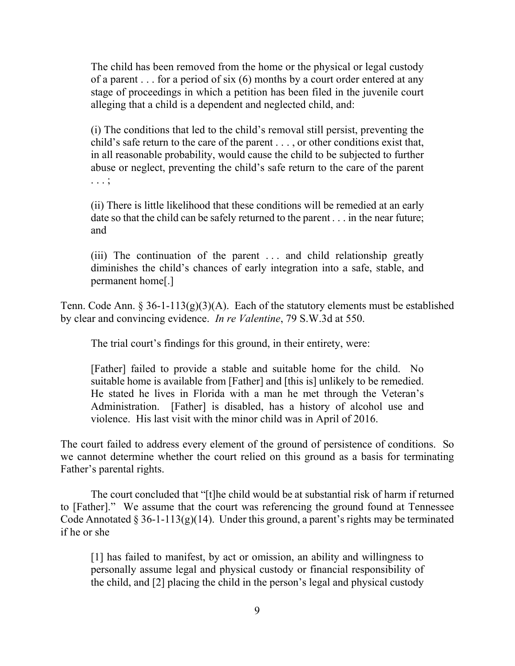The child has been removed from the home or the physical or legal custody of a parent . . . for a period of six (6) months by a court order entered at any stage of proceedings in which a petition has been filed in the juvenile court alleging that a child is a dependent and neglected child, and:

(i) The conditions that led to the child's removal still persist, preventing the child's safe return to the care of the parent . . . , or other conditions exist that, in all reasonable probability, would cause the child to be subjected to further abuse or neglect, preventing the child's safe return to the care of the parent . . . ;

(ii) There is little likelihood that these conditions will be remedied at an early date so that the child can be safely returned to the parent . . . in the near future; and

(iii) The continuation of the parent . . . and child relationship greatly diminishes the child's chances of early integration into a safe, stable, and permanent home[.]

Tenn. Code Ann.  $\S 36-1-113(g)(3)(A)$ . Each of the statutory elements must be established by clear and convincing evidence. *In re Valentine*, 79 S.W.3d at 550.

The trial court's findings for this ground, in their entirety, were:

[Father] failed to provide a stable and suitable home for the child. No suitable home is available from [Father] and [this is] unlikely to be remedied. He stated he lives in Florida with a man he met through the Veteran's Administration. [Father] is disabled, has a history of alcohol use and violence. His last visit with the minor child was in April of 2016.

The court failed to address every element of the ground of persistence of conditions. So we cannot determine whether the court relied on this ground as a basis for terminating Father's parental rights.

The court concluded that "[t]he child would be at substantial risk of harm if returned to [Father]." We assume that the court was referencing the ground found at Tennessee Code Annotated § 36-1-113(g)(14). Under this ground, a parent's rights may be terminated if he or she

[1] has failed to manifest, by act or omission, an ability and willingness to personally assume legal and physical custody or financial responsibility of the child, and [2] placing the child in the person's legal and physical custody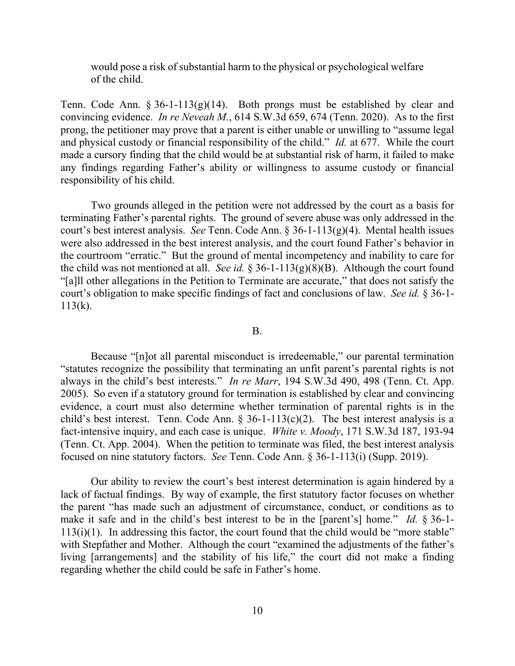would pose a risk of substantial harm to the physical or psychological welfare of the child.

Tenn. Code Ann.  $\S 36$ -1-113(g)(14). Both prongs must be established by clear and convincing evidence. *In re Neveah M.*, 614 S.W.3d 659, 674 (Tenn. 2020). As to the first prong, the petitioner may prove that a parent is either unable or unwilling to "assume legal and physical custody or financial responsibility of the child." *Id.* at 677. While the court made a cursory finding that the child would be at substantial risk of harm, it failed to make any findings regarding Father's ability or willingness to assume custody or financial responsibility of his child.

Two grounds alleged in the petition were not addressed by the court as a basis for terminating Father's parental rights. The ground of severe abuse was only addressed in the court's best interest analysis. *See* Tenn. Code Ann. § 36-1-113(g)(4). Mental health issues were also addressed in the best interest analysis, and the court found Father's behavior in the courtroom "erratic." But the ground of mental incompetency and inability to care for the child was not mentioned at all. *See id.*  $\S 36$ -1-113(g)(8)(B). Although the court found "[a]ll other allegations in the Petition to Terminate are accurate," that does not satisfy the court's obligation to make specific findings of fact and conclusions of law. *See id.* § 36-1- 113(k).

B.

Because "[n]ot all parental misconduct is irredeemable," our parental termination "statutes recognize the possibility that terminating an unfit parent's parental rights is not always in the child's best interests." *In re Marr*, 194 S.W.3d 490, 498 (Tenn. Ct. App. 2005). So even if a statutory ground for termination is established by clear and convincing evidence, a court must also determine whether termination of parental rights is in the child's best interest. Tenn. Code Ann.  $\S$  36-1-113(c)(2). The best interest analysis is a fact-intensive inquiry, and each case is unique. *White v. Moody*, 171 S.W.3d 187, 193-94 (Tenn. Ct. App. 2004). When the petition to terminate was filed, the best interest analysis focused on nine statutory factors. *See* Tenn. Code Ann. § 36-1-113(i) (Supp. 2019).

Our ability to review the court's best interest determination is again hindered by a lack of factual findings. By way of example, the first statutory factor focuses on whether the parent "has made such an adjustment of circumstance, conduct, or conditions as to make it safe and in the child's best interest to be in the [parent's] home." *Id.* § 36-1-  $113(i)(1)$ . In addressing this factor, the court found that the child would be "more stable" with Stepfather and Mother. Although the court "examined the adjustments of the father's living [arrangements] and the stability of his life," the court did not make a finding regarding whether the child could be safe in Father's home.